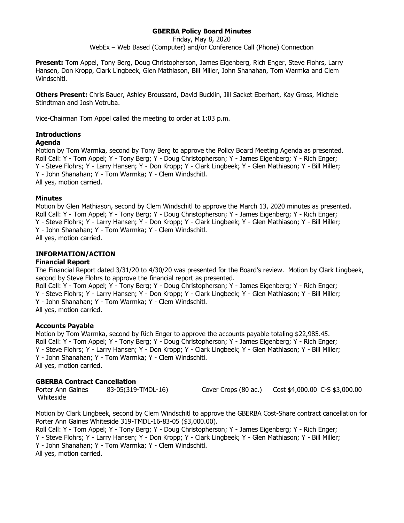# **GBERBA Policy Board Minutes**

Friday, May 8, 2020

WebEx – Web Based (Computer) and/or Conference Call (Phone) Connection

**Present:** Tom Appel, Tony Berg, Doug Christopherson, James Eigenberg, Rich Enger, Steve Flohrs, Larry Hansen, Don Kropp, Clark Lingbeek, Glen Mathiason, Bill Miller, John Shanahan, Tom Warmka and Clem Windschitl.

**Others Present:** Chris Bauer, Ashley Broussard, David Bucklin, Jill Sacket Eberhart, Kay Gross, Michele Stindtman and Josh Votruba.

Vice-Chairman Tom Appel called the meeting to order at 1:03 p.m.

## **Introductions**

### **Agenda**

Motion by Tom Warmka, second by Tony Berg to approve the Policy Board Meeting Agenda as presented. Roll Call: Y - Tom Appel; Y - Tony Berg; Y - Doug Christopherson; Y - James Eigenberg; Y - Rich Enger; Y - Steve Flohrs; Y - Larry Hansen; Y - Don Kropp; Y - Clark Lingbeek; Y - Glen Mathiason; Y - Bill Miller; Y - John Shanahan; Y - Tom Warmka; Y - Clem Windschitl. All yes, motion carried.

### **Minutes**

Motion by Glen Mathiason, second by Clem Windschitl to approve the March 13, 2020 minutes as presented. Roll Call: Y - Tom Appel; Y - Tony Berg; Y - Doug Christopherson; Y - James Eigenberg; Y - Rich Enger; Y - Steve Flohrs; Y - Larry Hansen; Y - Don Kropp; Y - Clark Lingbeek; Y - Glen Mathiason; Y - Bill Miller; Y - John Shanahan; Y - Tom Warmka; Y - Clem Windschitl. All yes, motion carried.

## **INFORMATION/ACTION**

#### **Financial Report**

The Financial Report dated 3/31/20 to 4/30/20 was presented for the Board's review. Motion by Clark Lingbeek, second by Steve Flohrs to approve the financial report as presented.

Roll Call: Y - Tom Appel; Y - Tony Berg; Y - Doug Christopherson; Y - James Eigenberg; Y - Rich Enger; Y - Steve Flohrs; Y - Larry Hansen; Y - Don Kropp; Y - Clark Lingbeek; Y - Glen Mathiason; Y - Bill Miller; Y - John Shanahan; Y - Tom Warmka; Y - Clem Windschitl. All yes, motion carried.

#### **Accounts Payable**

Motion by Tom Warmka, second by Rich Enger to approve the accounts payable totaling \$22,985.45. Roll Call: Y - Tom Appel; Y - Tony Berg; Y - Doug Christopherson; Y - James Eigenberg; Y - Rich Enger; Y - Steve Flohrs; Y - Larry Hansen; Y - Don Kropp; Y - Clark Lingbeek; Y - Glen Mathiason; Y - Bill Miller; Y - John Shanahan; Y - Tom Warmka; Y - Clem Windschitl. All yes, motion carried.

#### **GBERBA Contract Cancellation**

Porter Ann Gaines 83-05(319-TMDL-16) Cover Crops (80 ac.) Cost \$4,000.00 C-S \$3,000.00 Whiteside

Motion by Clark Lingbeek, second by Clem Windschitl to approve the GBERBA Cost-Share contract cancellation for Porter Ann Gaines Whiteside 319-TMDL-16-83-05 (\$3,000.00).

Roll Call: Y - Tom Appel; Y - Tony Berg; Y - Doug Christopherson; Y - James Eigenberg; Y - Rich Enger; Y - Steve Flohrs; Y - Larry Hansen; Y - Don Kropp; Y - Clark Lingbeek; Y - Glen Mathiason; Y - Bill Miller; Y - John Shanahan; Y - Tom Warmka; Y - Clem Windschitl. All yes, motion carried.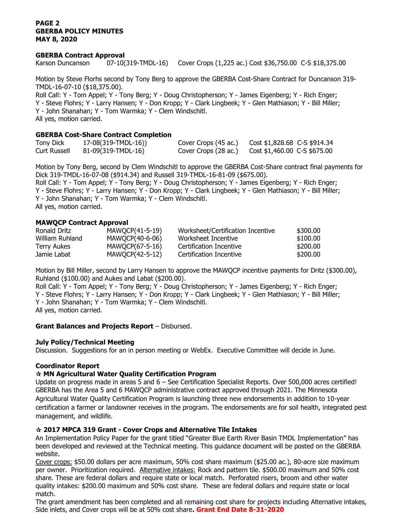### **PAGE 2 GBERBA POLICY MINUTES MAY 8, 2020**

### **GBERBA Contract Approval**

Karson Duncanson 07-10(319-TMDL-16) Cover Crops (1,225 ac.) Cost \$36,750.00 C-S \$18,375.00

Motion by Steve Florhs second by Tony Berg to approve the GBERBA Cost-Share Contract for Duncanson 319- TMDL-16-07-10 (\$18,375.00).

Roll Call: Y - Tom Appel; Y - Tony Berg; Y - Doug Christopherson; Y - James Eigenberg; Y - Rich Enger; Y - Steve Flohrs; Y - Larry Hansen; Y - Don Kropp; Y - Clark Lingbeek; Y - Glen Mathiason; Y - Bill Miller; Y - John Shanahan; Y - Tom Warmka; Y - Clem Windschitl. All yes, motion carried.

## **GBERBA Cost-Share Contract Completion**

| <b>Tony Dick</b>    | 17-08(319-TMDL-16)) | Cover Crops (45 ac.) | $Cost $1,828.68$ C-S \$914.34 |
|---------------------|---------------------|----------------------|-------------------------------|
| <b>Curt Russell</b> | 81-09(319-TMDL-16)  | Cover Crops (28 ac.) | $Cost $1,460.00$ C-S \$675.00 |

Motion by Tony Berg, second by Clem Windschitl to approve the GBERBA Cost-Share contract final payments for Dick 319-TMDL-16-07-08 (\$914.34) and Russell 319-TMDL-16-81-09 (\$675.00).

Roll Call: Y - Tom Appel; Y - Tony Berg; Y - Doug Christopherson; Y - James Eigenberg; Y - Rich Enger; Y - Steve Flohrs; Y - Larry Hansen; Y - Don Kropp; Y - Clark Lingbeek; Y - Glen Mathiason; Y - Bill Miller; Y - John Shanahan; Y - Tom Warmka; Y - Clem Windschitl. All yes, motion carried.

## **MAWQCP Contract Approval**

| Ronald Dritz    | MAWOCP(41-5-19) | Worksheet/Certification Incentive | \$300,00 |
|-----------------|-----------------|-----------------------------------|----------|
| William Ruhland | MAWOCP(40-6-06) | Worksheet Incentive               | \$100.00 |
| Terry Aukes     | MAWQCP(67-5-16) | Certification Incentive           | \$200.00 |
| Jamie Labat     | MAWOCP(42-5-12) | Certification Incentive           | \$200.00 |

Motion by Bill Miller, second by Larry Hansen to approve the MAWQCP incentive payments for Dritz (\$300.00), Ruhland (\$100.00) and Aukes and Labat (\$200.00).

Roll Call: Y - Tom Appel; Y - Tony Berg; Y - Doug Christopherson; Y - James Eigenberg; Y - Rich Enger; Y - Steve Flohrs; Y - Larry Hansen; Y - Don Kropp; Y - Clark Lingbeek; Y - Glen Mathiason; Y - Bill Miller; Y - John Shanahan; Y - Tom Warmka; Y - Clem Windschitl. All yes, motion carried.

## **Grant Balances and Projects Report** – Disbursed.

## **July Policy/Technical Meeting**

Discussion. Suggestions for an in person meeting or WebEx. Executive Committee will decide in June.

## **Coordinator Report**

## **MN Agricultural Water Quality Certification Program**

Update on progress made in areas 5 and 6 – See Certification Specialist Reports. Over 500,000 acres certified! GBERBA has the Area 5 and 6 MAWQCP administrative contract approved through 2021. The Minnesota Agricultural Water Quality Certification Program is launching three new endorsements in addition to 10-year certification a farmer or landowner receives in the program. The endorsements are for soil health, integrated pest management, and wildlife.

## **2017 MPCA 319 Grant - Cover Crops and Alternative Tile Intakes**

An Implementation Policy Paper for the grant titled "Greater Blue Earth River Basin TMDL Implementation" has been developed and reviewed at the Technical meeting. This guidance document will be posted on the GBERBA website.

Cover crops: \$50.00 dollars per acre maximum, 50% cost share maximum (\$25.00 ac.), 80-acre size maximum per owner. Prioritization required. Alternative intakes: Rock and pattern tile. \$500.00 maximum and 50% cost share. These are federal dollars and require state or local match. Perforated risers, broom and other water quality intakes: \$200.00 maximum and 50% cost share. These are federal dollars and require state or local match.

The grant amendment has been completed and all remaining cost share for projects including Alternative intakes, Side inlets, and Cover crops will be at 50% cost share**. Grant End Date 8-31-2020**